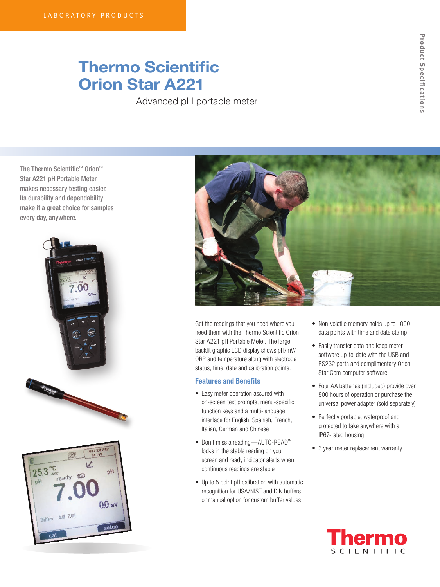## Thermo Scientific Orion Star A221

Advanced pH portable meter

The Thermo Scientific™ Orion™ Star A221 pH Portable Meter makes necessary testing easier. Its durability and dependability make it a great choice for samples every day, anywhere.







Get the readings that you need where you need them with the Thermo Scientific Orion Star A221 pH Portable Meter. The large, backlit graphic LCD display shows pH/mV/ ORP and temperature along with electrode status, time, date and calibration points.

## Features and Benefits

- Easy meter operation assured with on-screen text prompts, menu-specific function keys and a multi-language interface for English, Spanish, French, Italian, German and Chinese
- Don't miss a reading—AUTO-READ™ locks in the stable reading on your screen and ready indicator alerts when continuous readings are stable
- Up to 5 point pH calibration with automatic recognition for USA/NIST and DIN buffers or manual option for custom buffer values
- Non-volatile memory holds up to 1000 data points with time and date stamp
- Easily transfer data and keep meter software up-to-date with the USB and RS232 ports and complimentary Orion Star Com computer software
- Four AA batteries (included) provide over 800 hours of operation or purchase the universal power adapter (sold separately)
- Perfectly portable, waterproof and protected to take anywhere with a IP67-rated housing
- 3 year meter replacement warranty